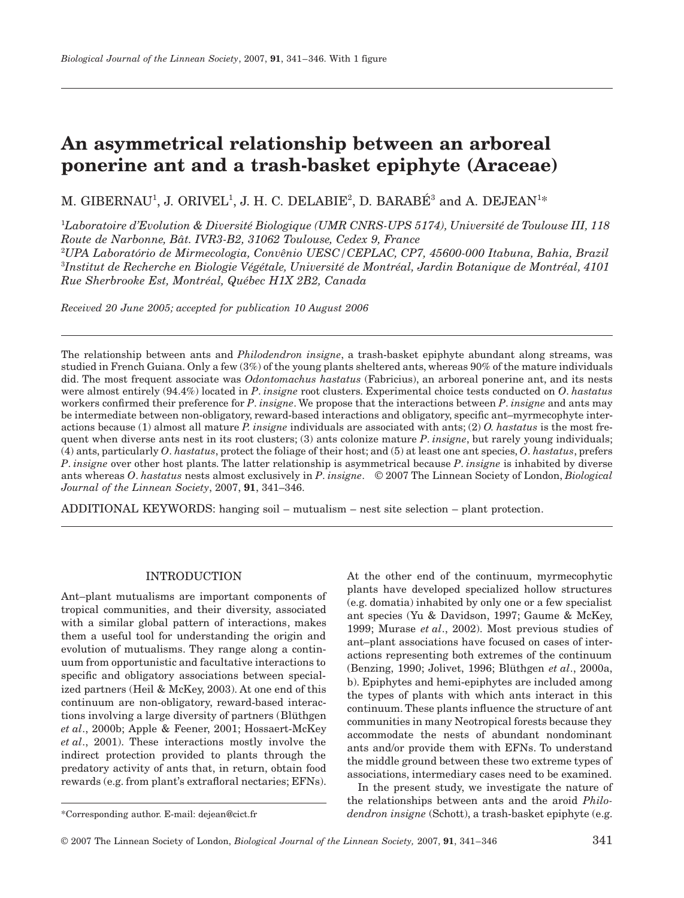# **An asymmetrical relationship between an arboreal ponerine ant and a trash-basket epiphyte (Araceae)**

M. GIBERNAU<sup>1</sup>, J. ORIVEL<sup>1</sup>, J. H. C. DELABIE<sup>2</sup>, D. BARABÉ<sup>3</sup> and A. DEJEAN<sup>1\*</sup>

1 *Laboratoire d'Evolution & Diversité Biologique (UMR CNRS-UPS 5174), Université de Toulouse III, 118 Route de Narbonne, Bât. IVR3-B2, 31062 Toulouse, Cedex 9, France* 

2 *UPA Laboratório de Mirmecologia, Convênio UESC/CEPLAC, CP7, 45600-000 Itabuna, Bahia, Brazil*  3 *Institut de Recherche en Biologie Végétale, Université de Montréal, Jardin Botanique de Montréal, 4101 Rue Sherbrooke Est, Montréal, Québec H1X 2B2, Canada*

*Received 20 June 2005; accepted for publication 10 August 2006*

The relationship between ants and *Philodendron insigne*, a trash-basket epiphyte abundant along streams, was studied in French Guiana. Only a few (3%) of the young plants sheltered ants, whereas 90% of the mature individuals did. The most frequent associate was *Odontomachus hastatus* (Fabricius), an arboreal ponerine ant, and its nests were almost entirely (94.4%) located in *P*. *insigne* root clusters. Experimental choice tests conducted on *O*. *hastatus* workers confirmed their preference for *P*. *insigne*. We propose that the interactions between *P*. *insigne* and ants may be intermediate between non-obligatory, reward-based interactions and obligatory, specific ant–myrmecophyte interactions because (1) almost all mature *P. insigne* individuals are associated with ants; (2) *O. hastatus* is the most frequent when diverse ants nest in its root clusters; (3) ants colonize mature *P*. *insigne*, but rarely young individuals; (4) ants, particularly *O*. *hastatus*, protect the foliage of their host; and (5) at least one ant species, *O*. *hastatus*, prefers *P*. *insigne* over other host plants. The latter relationship is asymmetrical because *P*. *insigne* is inhabited by diverse ants whereas *O*. *hastatus* nests almost exclusively in *P*. *insigne*. © 2007 The Linnean Society of London, *Biological Journal of the Linnean Society*, 2007, **91**, 341–346.

ADDITIONAL KEYWORDS: hanging soil – mutualism – nest site selection – plant protection.

## INTRODUCTION

Ant–plant mutualisms are important components of tropical communities, and their diversity, associated with a similar global pattern of interactions, makes them a useful tool for understanding the origin and evolution of mutualisms. They range along a continuum from opportunistic and facultative interactions to specific and obligatory associations between specialized partners (Heil & McKey, 2003). At one end of this continuum are non-obligatory, reward-based interactions involving a large diversity of partners (Blüthgen *et al*., 2000b; Apple & Feener, 2001; Hossaert-McKey *et al*., 2001). These interactions mostly involve the indirect protection provided to plants through the predatory activity of ants that, in return, obtain food rewards (e.g. from plant's extrafloral nectaries; EFNs).

\*Corresponding author. E-mail: dejean@cict.fr

At the other end of the continuum, myrmecophytic plants have developed specialized hollow structures (e.g. domatia) inhabited by only one or a few specialist ant species (Yu & Davidson, 1997; Gaume & McKey, 1999; Murase *et al*., 2002). Most previous studies of ant–plant associations have focused on cases of interactions representing both extremes of the continuum (Benzing, 1990; Jolivet, 1996; Blüthgen *et al*., 2000a, b). Epiphytes and hemi-epiphytes are included among the types of plants with which ants interact in this continuum. These plants influence the structure of ant communities in many Neotropical forests because they accommodate the nests of abundant nondominant ants and/or provide them with EFNs. To understand the middle ground between these two extreme types of associations, intermediary cases need to be examined.

In the present study, we investigate the nature of the relationships between ants and the aroid *Philodendron insigne* (Schott), a trash-basket epiphyte (e.g.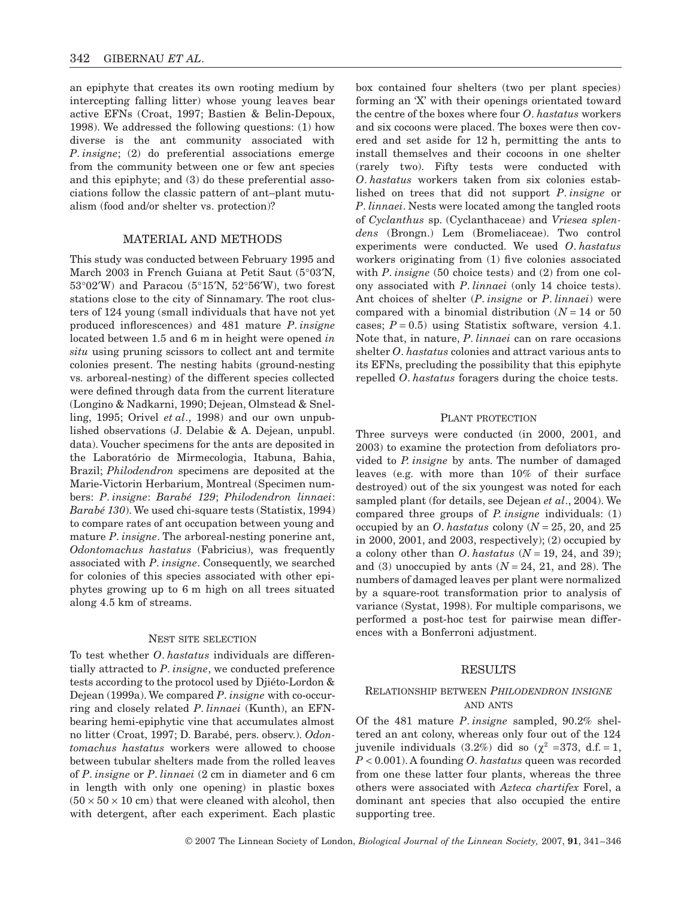an epiphyte that creates its own rooting medium by intercepting falling litter) whose young leaves bear active EFNs (Croat, 1997; Bastien & Belin-Depoux, 1998). We addressed the following questions: (1) how diverse is the ant community associated with *P*. *insigne*; (2) do preferential associations emerge from the community between one or few ant species and this epiphyte; and (3) do these preferential associations follow the classic pattern of ant–plant mutualism (food and/or shelter vs. protection)?

#### MATERIAL AND METHODS

This study was conducted between February 1995 and March 2003 in French Guiana at Petit Saut (5°03′N, 53°02′W) and Paracou (5°15′N, 52°56′W), two forest stations close to the city of Sinnamary. The root clusters of 124 young (small individuals that have not yet produced inflorescences) and 481 mature *P*. *insigne* located between 1.5 and 6 m in height were opened *in situ* using pruning scissors to collect ant and termite colonies present. The nesting habits (ground-nesting vs. arboreal-nesting) of the different species collected were defined through data from the current literature (Longino & Nadkarni, 1990; Dejean, Olmstead & Snelling, 1995; Orivel *et al*., 1998) and our own unpublished observations (J. Delabie & A. Dejean, unpubl. data). Voucher specimens for the ants are deposited in the Laboratório de Mirmecologia, Itabuna, Bahia, Brazil; *Philodendron* specimens are deposited at the Marie-Victorin Herbarium, Montreal (Specimen numbers: *P*. *insigne*: *Barabé 129*; *Philodendron linnaei*: *Barabé 130*). We used chi-square tests (Statistix, 1994) to compare rates of ant occupation between young and mature *P*. *insigne*. The arboreal-nesting ponerine ant, *Odontomachus hastatus* (Fabricius), was frequently associated with *P*. *insigne*. Consequently, we searched for colonies of this species associated with other epiphytes growing up to 6 m high on all trees situated along 4.5 km of streams.

#### NEST SITE SELECTION

To test whether *O*. *hastatus* individuals are differentially attracted to *P*. *insigne*, we conducted preference tests according to the protocol used by Djiéto-Lordon & Dejean (1999a). We compared *P*. *insigne* with co-occurring and closely related *P*. *linnaei* (Kunth), an EFNbearing hemi-epiphytic vine that accumulates almost no litter (Croat, 1997; D. Barabé, pers. observ.). *Odontomachus hastatus* workers were allowed to choose between tubular shelters made from the rolled leaves of *P*. *insigne* or *P*. *linnaei* (2 cm in diameter and 6 cm in length with only one opening) in plastic boxes  $(50 \times 50 \times 10$  cm) that were cleaned with alcohol, then with detergent, after each experiment. Each plastic box contained four shelters (two per plant species) forming an 'X' with their openings orientated toward the centre of the boxes where four *O*. *hastatus* workers and six cocoons were placed. The boxes were then covered and set aside for 12 h, permitting the ants to install themselves and their cocoons in one shelter (rarely two). Fifty tests were conducted with *O*. *hastatus* workers taken from six colonies established on trees that did not support *P*. *insigne* or *P*. *linnaei*. Nests were located among the tangled roots of *Cyclanthus* sp. (Cyclanthaceae) and *Vriesea splendens* (Brongn.) Lem (Bromeliaceae). Two control experiments were conducted. We used *O*. *hastatus* workers originating from (1) five colonies associated with *P*. *insigne* (50 choice tests) and (2) from one colony associated with *P*. *linnaei* (only 14 choice tests). Ant choices of shelter (*P*. *insigne* or *P*. *linnaei*) were compared with a binomial distribution  $(N = 14$  or 50 cases;  $P = 0.5$ ) using Statistix software, version 4.1. Note that, in nature, *P*. *linnaei* can on rare occasions shelter *O*. *hastatus* colonies and attract various ants to its EFNs, precluding the possibility that this epiphyte repelled *O*. *hastatus* foragers during the choice tests.

#### PLANT PROTECTION

Three surveys were conducted (in 2000, 2001, and 2003) to examine the protection from defoliators provided to *P. insigne* by ants. The number of damaged leaves (e.g. with more than 10% of their surface destroyed) out of the six youngest was noted for each sampled plant (for details, see Dejean *et al*., 2004). We compared three groups of *P. insigne* individuals: (1) occupied by an *O*. *hastatus* colony ( $N = 25$ , 20, and 25 in 2000, 2001, and 2003, respectively); (2) occupied by a colony other than *O*. *hastatus* (*N* = 19, 24, and 39); and (3) unoccupied by ants  $(N = 24, 21,$  and 28). The numbers of damaged leaves per plant were normalized by a square-root transformation prior to analysis of variance (Systat, 1998). For multiple comparisons, we performed a post-hoc test for pairwise mean differences with a Bonferroni adjustment.

#### RESULTS

## RELATIONSHIP BETWEEN *PHILODENDRON INSIGNE* AND ANTS

Of the 481 mature *P*. *insigne* sampled, 90.2% sheltered an ant colony, whereas only four out of the 124 juvenile individuals (3.2%) did so ( $\chi^2$  =373, d.f. = 1, *P* < 0.001). A founding *O*. *hastatus* queen was recorded from one these latter four plants, whereas the three others were associated with *Azteca chartifex* Forel, a dominant ant species that also occupied the entire supporting tree.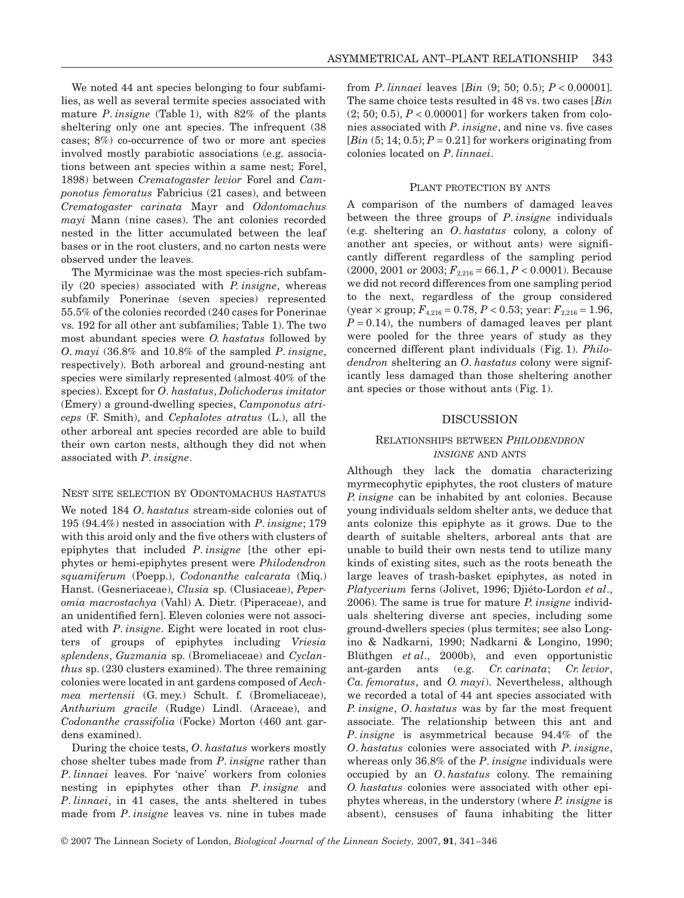We noted 44 ant species belonging to four subfamilies, as well as several termite species associated with mature *P*. *insigne* (Table 1), with 82% of the plants sheltering only one ant species. The infrequent (38 cases; 8%) co-occurrence of two or more ant species involved mostly parabiotic associations (e.g. associations between ant species within a same nest; Forel, 1898) between *Crematogaster levior* Forel and *Camponotus femoratus* Fabricius (21 cases), and between *Crematogaster carinata* Mayr and *Odontomachus mayi* Mann (nine cases). The ant colonies recorded nested in the litter accumulated between the leaf bases or in the root clusters, and no carton nests were observed under the leaves.

The Myrmicinae was the most species-rich subfamily (20 species) associated with *P. insigne*, whereas subfamily Ponerinae (seven species) represented 55.5% of the colonies recorded (240 cases for Ponerinae vs. 192 for all other ant subfamilies; Table 1). The two most abundant species were *O. hastatus* followed by *O*. *mayi* (36.8% and 10.8% of the sampled *P*. *insigne*, respectively). Both arboreal and ground-nesting ant species were similarly represented (almost 40% of the species). Except for *O*. *hastatus*, *Dolichoderus imitator* (Emery) a ground-dwelling species, *Camponotus atriceps* (F. Smith), and *Cephalotes atratus* (L.), all the other arboreal ant species recorded are able to build their own carton nests, although they did not when associated with *P*. *insigne*.

#### NEST SITE SELECTION BY ODONTOMACHUS HASTATUS

We noted 184 *O*. *hastatus* stream-side colonies out of 195 (94.4%) nested in association with *P*. *insigne*; 179 with this aroid only and the five others with clusters of epiphytes that included *P*. *insigne* [the other epiphytes or hemi-epiphytes present were *Philodendron squamiferum* (Poepp.), *Codonanthe calcarata* (Miq.) Hanst. (Gesneriaceae), *Clusia* sp. (Clusiaceae), *Peperomia macrostachya* (Vahl) A. Dietr. (Piperaceae), and an unidentified fern]. Eleven colonies were not associated with *P*. *insigne*. Eight were located in root clusters of groups of epiphytes including *Vriesia splendens*, *Guzmania* sp. (Bromeliaceae) and *Cyclanthus* sp. (230 clusters examined). The three remaining colonies were located in ant gardens composed of *Aechmea mertensii* (G. mey.) Schult. f. (Bromeliaceae), *Anthurium gracile* (Rudge) Lindl. (Araceae), and *Codonanthe crassifolia* (Focke) Morton (460 ant gardens examined).

During the choice tests, *O*. *hastatus* workers mostly chose shelter tubes made from *P*. *insigne* rather than *P*. *linnaei* leaves. For 'naive' workers from colonies nesting in epiphytes other than *P*. *insigne* and *P*. *linnaei*, in 41 cases, the ants sheltered in tubes made from *P*. *insigne* leaves vs. nine in tubes made

from *P*. *linnaei* leaves [*Bin* (9; 50; 0.5); *P* < 0.00001]. The same choice tests resulted in 48 vs. two cases [*Bin*  $(2; 50; 0.5)$ ,  $P < 0.00001$ ] for workers taken from colonies associated with *P*. *insigne*, and nine vs. five cases  $[\text{Bin}(5; 14; 0.5); P = 0.21]$  for workers originating from colonies located on *P*. *linnaei*.

#### PLANT PROTECTION BY ANTS

A comparison of the numbers of damaged leaves between the three groups of *P*. *insigne* individuals (e.g. sheltering an *O*. *hastatus* colony, a colony of another ant species, or without ants) were significantly different regardless of the sampling period  $(2000, 2001 \text{ or } 2003; F_{2,216} = 66.1, P < 0.0001)$ . Because we did not record differences from one sampling period to the next, regardless of the group considered  $(year \times group; F_{4,216} = 0.78, P < 0.53; year: F_{2,216} = 1.96,$  $P = 0.14$ , the numbers of damaged leaves per plant were pooled for the three years of study as they concerned different plant individuals (Fig. 1). *Philodendron* sheltering an *O*. *hastatus* colony were significantly less damaged than those sheltering another ant species or those without ants (Fig. 1).

## **DISCUSSION**

## RELATIONSHIPS BETWEEN *PHILODENDRON INSIGNE* AND ANTS

Although they lack the domatia characterizing myrmecophytic epiphytes, the root clusters of mature *P. insigne* can be inhabited by ant colonies. Because young individuals seldom shelter ants, we deduce that ants colonize this epiphyte as it grows. Due to the dearth of suitable shelters, arboreal ants that are unable to build their own nests tend to utilize many kinds of existing sites, such as the roots beneath the large leaves of trash-basket epiphytes, as noted in *Platycerium* ferns (Jolivet, 1996; Djiéto-Lordon *et al*., 2006). The same is true for mature *P. insigne* individuals sheltering diverse ant species, including some ground-dwellers species (plus termites; see also Longino & Nadkarni, 1990; Nadkarni & Longino, 1990; Blüthgen *et al*., 2000b), and even opportunistic ant-garden ants (e.g. *Cr. carinata*; *Cr. levior*, *Ca. femoratus*, and *O. mayi*). Nevertheless, although we recorded a total of 44 ant species associated with *P. insigne*, *O*. *hastatus* was by far the most frequent associate. The relationship between this ant and *P*. *insigne* is asymmetrical because 94.4% of the *O*. *hastatus* colonies were associated with *P*. *insigne*, whereas only 36.8% of the *P*. *insigne* individuals were occupied by an *O*. *hastatus* colony. The remaining *O. hastatus* colonies were associated with other epiphytes whereas, in the understory (where *P. insigne* is absent), censuses of fauna inhabiting the litter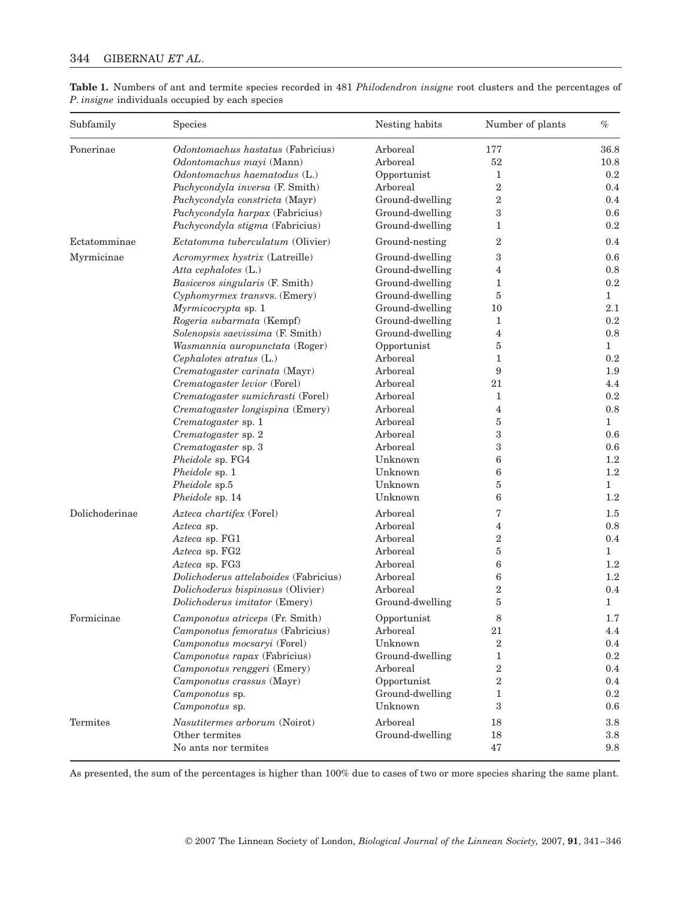## 344 GIBERNAU *ET AL*.

| Subfamily      | Species                                 | Nesting habits  | Number of plants | $\%$         |
|----------------|-----------------------------------------|-----------------|------------------|--------------|
| Ponerinae      | Odontomachus hastatus (Fabricius)       | Arboreal        | 177              | 36.8         |
|                | Odontomachus mayi (Mann)                | Arboreal        | 52               | 10.8         |
|                | Odontomachus haematodus (L.)            | Opportunist     | 1                | 0.2          |
|                | Pachycondyla inversa (F. Smith)         | Arboreal        | $\overline{2}$   | 0.4          |
|                | Pachycondyla constricta (Mayr)          | Ground-dwelling | $\overline{2}$   | 0.4          |
|                | Pachycondyla harpax (Fabricius)         | Ground-dwelling | $\,3$            | 0.6          |
|                | Pachycondyla stigma (Fabricius)         | Ground-dwelling | $\mathbf{1}$     | 0.2          |
| Ectatomminae   | <i>Ectatomma tuberculatum</i> (Olivier) | Ground-nesting  | $\overline{2}$   | 0.4          |
| Myrmicinae     | Acromyrmex hystrix (Latreille)          | Ground-dwelling | 3                | 0.6          |
|                | Atta cephalotes (L.)                    | Ground-dwelling | 4                | 0.8          |
|                | Basiceros singularis (F. Smith)         | Ground-dwelling | 1                | 0.2          |
|                | Cyphomyrmex transvs. (Emery)            | Ground-dwelling | $\overline{5}$   | $\mathbf{1}$ |
|                | Myrmicocrypta sp. 1                     | Ground-dwelling | 10               | 2.1          |
|                | Rogeria subarmata (Kempf)               | Ground-dwelling | $\mathbf{1}$     | 0.2          |
|                | Solenopsis saevissima (F. Smith)        | Ground-dwelling | 4                | 0.8          |
|                | Wasmannia auropunctata (Roger)          | Opportunist     | 5                | $\mathbf{1}$ |
|                | Cephalotes atratus (L.)                 | Arboreal        | $\mathbf{1}$     | 0.2          |
|                | Crematogaster carinata (Mayr)           | Arboreal        | 9                | 1.9          |
|                | Crematogaster levior (Forel)            | Arboreal        | 21               | 4.4          |
|                | Crematogaster sumichrasti (Forel)       | Arboreal        | $\mathbf{1}$     | 0.2          |
|                | Crematogaster longispina (Emery)        | Arboreal        | $\overline{4}$   | 0.8          |
|                | Crematogaster sp. 1                     | Arboreal        | 5                | $\mathbf{1}$ |
|                | Crematogaster sp. 2                     | Arboreal        | $\,3$            | 0.6          |
|                | Crematogaster sp. 3                     | Arboreal        | $\,3$            | 0.6          |
|                | Pheidole sp. FG4                        | Unknown         | 6                | 1.2          |
|                | Pheidole sp. 1                          | Unknown         | 6                | 1.2          |
|                | Pheidole sp.5                           | Unknown         | 5                | $\mathbf{1}$ |
|                | Pheidole sp. 14                         | Unknown         | 6                | 1.2          |
| Dolichoderinae | Azteca chartifex (Forel)                | Arboreal        | 7                | 1.5          |
|                | Azteca sp.                              | Arboreal        | 4                | 0.8          |
|                | Azteca sp. FG1                          | Arboreal        | $\,2$            | 0.4          |
|                | Azteca sp. FG2                          | Arboreal        | 5                | 1            |
|                | Azteca sp. FG3                          | Arboreal        | 6                | 1.2          |
|                | Dolichoderus attelaboides (Fabricius)   | Arboreal        | 6                | 1.2          |
|                | Dolichoderus bispinosus (Olivier)       | Arboreal        | $\overline{2}$   | 0.4          |
|                | Dolichoderus imitator (Emery)           | Ground-dwelling | $\overline{5}$   | $\mathbf{1}$ |
| Formicinae     | Camponotus atriceps (Fr. Smith)         | Opportunist     | 8                | 1.7          |
|                | Camponotus femoratus (Fabricius)        | Arboreal        | 21               | 4.4          |
|                | Camponotus mocsaryi (Forel)             | Unknown         | $\overline{2}$   | 0.4          |
|                | Camponotus rapax (Fabricius)            | Ground-dwelling | 1                | 0.2          |
|                | Camponotus renggeri (Emery)             | Arboreal        | $\boldsymbol{2}$ | 0.4          |
|                | Camponotus crassus (Mayr)               | Opportunist     | $\,2$            | 0.4          |
|                | Camponotus sp.                          | Ground-dwelling | $\mathbf{1}$     | 0.2          |
|                | Camponotus sp.                          | Unknown         | $\,3$            | 0.6          |
| Termites       | Nasutitermes arborum (Noirot)           | Arboreal        | 18               | 3.8          |
|                | Other termites                          | Ground-dwelling | 18               | 3.8          |
|                | No ants nor termites                    |                 | 47               | 9.8          |

**Table 1.** Numbers of ant and termite species recorded in 481 *Philodendron insigne* root clusters and the percentages of *P*. *insigne* individuals occupied by each species

As presented, the sum of the percentages is higher than 100% due to cases of two or more species sharing the same plant.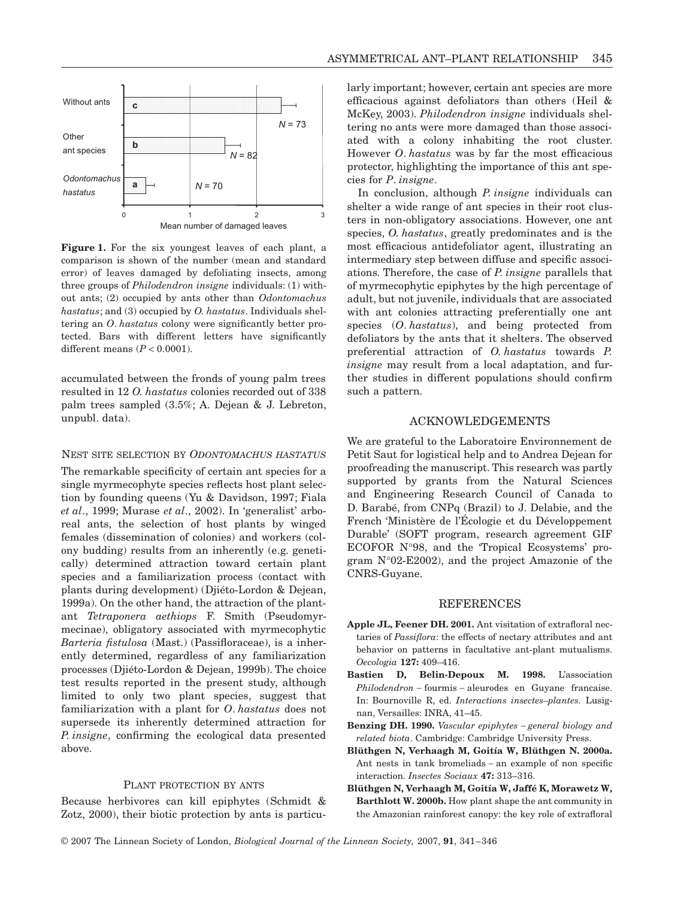

**Figure 1.** For the six youngest leaves of each plant, a comparison is shown of the number (mean and standard error) of leaves damaged by defoliating insects, among three groups of *Philodendron insigne* individuals: (1) without ants; (2) occupied by ants other than *Odontomachus hastatus*; and (3) occupied by *O. hastatus*. Individuals sheltering an *O*. *hastatus* colony were significantly better protected. Bars with different letters have significantly different means (*P* < 0.0001).

accumulated between the fronds of young palm trees resulted in 12 *O. hastatus* colonies recorded out of 338 palm trees sampled (3.5%; A. Dejean & J. Lebreton, unpubl. data).

#### NEST SITE SELECTION BY *ODONTOMACHUS HASTATUS*

The remarkable specificity of certain ant species for a single myrmecophyte species reflects host plant selection by founding queens (Yu & Davidson, 1997; Fiala *et al*., 1999; Murase *et al*., 2002). In 'generalist' arboreal ants, the selection of host plants by winged females (dissemination of colonies) and workers (colony budding) results from an inherently (e.g. genetically) determined attraction toward certain plant species and a familiarization process (contact with plants during development) (Djiéto-Lordon & Dejean, 1999a). On the other hand, the attraction of the plantant *Tetraponera aethiops* F. Smith (Pseudomyrmecinae), obligatory associated with myrmecophytic *Barteria fistulosa* (Mast.) (Passifloraceae), is a inherently determined, regardless of any familiarization processes (Djiéto-Lordon & Dejean, 1999b). The choice test results reported in the present study, although limited to only two plant species, suggest that familiarization with a plant for *O*. *hastatus* does not supersede its inherently determined attraction for *P. insigne*, confirming the ecological data presented above.

## PLANT PROTECTION BY ANTS

Because herbivores can kill epiphytes (Schmidt & Zotz, 2000), their biotic protection by ants is particularly important; however, certain ant species are more efficacious against defoliators than others (Heil & McKey, 2003). *Philodendron insigne* individuals sheltering no ants were more damaged than those associated with a colony inhabiting the root cluster. However *O*. *hastatus* was by far the most efficacious protector, highlighting the importance of this ant species for *P*. *insigne*.

In conclusion, although *P. insigne* individuals can shelter a wide range of ant species in their root clusters in non-obligatory associations. However, one ant species, *O. hastatus*, greatly predominates and is the most efficacious antidefoliator agent, illustrating an intermediary step between diffuse and specific associations. Therefore, the case of *P. insigne* parallels that of myrmecophytic epiphytes by the high percentage of adult, but not juvenile, individuals that are associated with ant colonies attracting preferentially one ant species (*O*. *hastatus*), and being protected from defoliators by the ants that it shelters. The observed preferential attraction of *O. hastatus* towards *P. insigne* may result from a local adaptation, and further studies in different populations should confirm such a pattern.

#### ACKNOWLEDGEMENTS

We are grateful to the Laboratoire Environnement de Petit Saut for logistical help and to Andrea Dejean for proofreading the manuscript. This research was partly supported by grants from the Natural Sciences and Engineering Research Council of Canada to D. Barabé, from CNPq (Brazil) to J. Delabie, and the French 'Ministère de l'Écologie et du Développement Durable' (SOFT program, research agreement GIF ECOFOR N°98, and the 'Tropical Ecosystems' program N°02-E2002), and the project Amazonie of the CNRS-Guyane.

#### **REFERENCES**

- **Apple JL, Feener DH. 2001.** Ant visitation of extrafloral nectaries of *Passiflora*: the effects of nectary attributes and ant behavior on patterns in facultative ant-plant mutualisms. *Oecologia* **127:** 409–416.
- **Bastien D, Belin-Depoux M. 1998.** L'association *Philodendron* − fourmis − aleurodes en Guyane francaise. In: Bournoville R, ed. *Interactions insectes–plantes.* Lusignan, Versailles: INRA, 41–45.
- **Benzing DH. 1990.** *Vascular epiphytes* − *general biology and related biota*. Cambridge: Cambridge University Press.
- **Blüthgen N, Verhaagh M, Goitía W, Blüthgen N. 2000a.** Ant nests in tank bromeliads − an example of non specific interaction. *Insectes Sociaux* **47:** 313–316.
- **Blüthgen N, Verhaagh M, Goitía W, Jaffé K, Morawetz W, Barthlott W. 2000b.** How plant shape the ant community in the Amazonian rainforest canopy: the key role of extrafloral